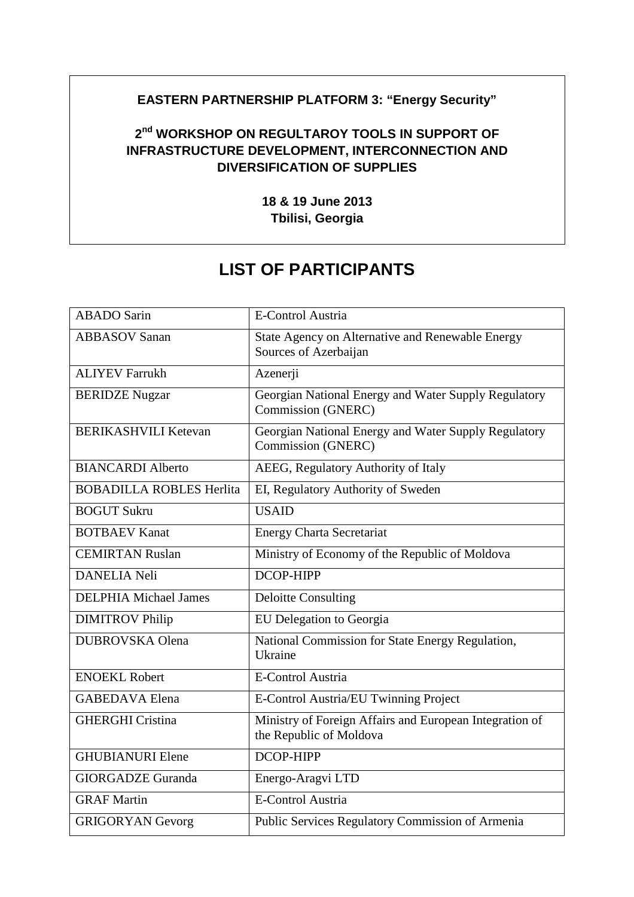## **EASTERN PARTNERSHIP PLATFORM 3: "Energy Security"**

## **2 nd WORKSHOP ON REGULTAROY TOOLS IN SUPPORT OF INFRASTRUCTURE DEVELOPMENT, INTERCONNECTION AND DIVERSIFICATION OF SUPPLIES**

**18 & 19 June 2013 Tbilisi, Georgia**

## **LIST OF PARTICIPANTS**

| <b>ABADO</b> Sarin              | <b>E-Control Austria</b>                                                           |
|---------------------------------|------------------------------------------------------------------------------------|
| <b>ABBASOV Sanan</b>            | State Agency on Alternative and Renewable Energy<br>Sources of Azerbaijan          |
| <b>ALIYEV Farrukh</b>           | Azenerji                                                                           |
| <b>BERIDZE Nugzar</b>           | Georgian National Energy and Water Supply Regulatory<br>Commission (GNERC)         |
| <b>BERIKASHVILI Ketevan</b>     | Georgian National Energy and Water Supply Regulatory<br>Commission (GNERC)         |
| <b>BIANCARDI Alberto</b>        | AEEG, Regulatory Authority of Italy                                                |
| <b>BOBADILLA ROBLES Herlita</b> | EI, Regulatory Authority of Sweden                                                 |
| <b>BOGUT Sukru</b>              | <b>USAID</b>                                                                       |
| <b>BOTBAEV Kanat</b>            | <b>Energy Charta Secretariat</b>                                                   |
| <b>CEMIRTAN Ruslan</b>          | Ministry of Economy of the Republic of Moldova                                     |
| <b>DANELIA Neli</b>             | <b>DCOP-HIPP</b>                                                                   |
| <b>DELPHIA Michael James</b>    | <b>Deloitte Consulting</b>                                                         |
| <b>DIMITROV Philip</b>          | EU Delegation to Georgia                                                           |
| <b>DUBROVSKA</b> Olena          | National Commission for State Energy Regulation,<br>Ukraine                        |
| <b>ENOEKL Robert</b>            | <b>E-Control Austria</b>                                                           |
| <b>GABEDAVA Elena</b>           | E-Control Austria/EU Twinning Project                                              |
| <b>GHERGHI Cristina</b>         | Ministry of Foreign Affairs and European Integration of<br>the Republic of Moldova |
| <b>GHUBIANURI Elene</b>         | <b>DCOP-HIPP</b>                                                                   |
| <b>GIORGADZE</b> Guranda        | Energo-Aragvi LTD                                                                  |
| <b>GRAF Martin</b>              | <b>E-Control Austria</b>                                                           |
| <b>GRIGORYAN Gevorg</b>         | Public Services Regulatory Commission of Armenia                                   |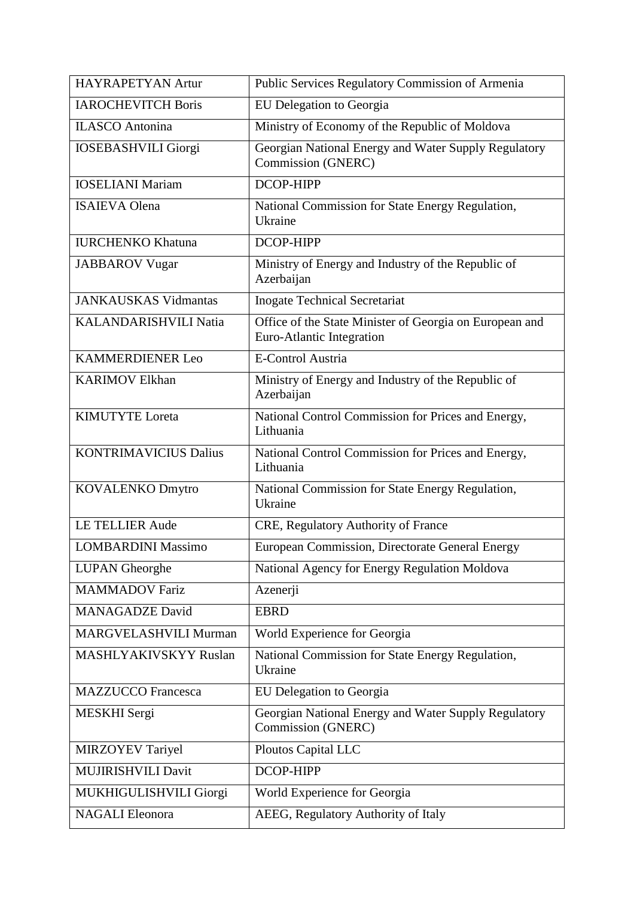| <b>HAYRAPETYAN Artur</b>     | Public Services Regulatory Commission of Armenia                                     |
|------------------------------|--------------------------------------------------------------------------------------|
| <b>IAROCHEVITCH Boris</b>    | EU Delegation to Georgia                                                             |
| <b>ILASCO</b> Antonina       | Ministry of Economy of the Republic of Moldova                                       |
| <b>IOSEBASHVILI Giorgi</b>   | Georgian National Energy and Water Supply Regulatory<br>Commission (GNERC)           |
| <b>IOSELIANI Mariam</b>      | <b>DCOP-HIPP</b>                                                                     |
| <b>ISAIEVA Olena</b>         | National Commission for State Energy Regulation,<br>Ukraine                          |
| <b>IURCHENKO Khatuna</b>     | DCOP-HIPP                                                                            |
| <b>JABBAROV</b> Vugar        | Ministry of Energy and Industry of the Republic of<br>Azerbaijan                     |
| <b>JANKAUSKAS Vidmantas</b>  | <b>Inogate Technical Secretariat</b>                                                 |
| <b>KALANDARISHVILI Natia</b> | Office of the State Minister of Georgia on European and<br>Euro-Atlantic Integration |
| <b>KAMMERDIENER Leo</b>      | <b>E-Control Austria</b>                                                             |
| <b>KARIMOV Elkhan</b>        | Ministry of Energy and Industry of the Republic of<br>Azerbaijan                     |
| <b>KIMUTYTE Loreta</b>       | National Control Commission for Prices and Energy,<br>Lithuania                      |
| <b>KONTRIMAVICIUS Dalius</b> | National Control Commission for Prices and Energy,<br>Lithuania                      |
| <b>KOVALENKO Dmytro</b>      | National Commission for State Energy Regulation,<br>Ukraine                          |
| <b>LE TELLIER Aude</b>       | CRE, Regulatory Authority of France                                                  |
| <b>LOMBARDINI Massimo</b>    | European Commission, Directorate General Energy                                      |
| <b>LUPAN</b> Gheorghe        | National Agency for Energy Regulation Moldova                                        |
| <b>MAMMADOV Fariz</b>        | Azenerji                                                                             |
| <b>MANAGADZE David</b>       | <b>EBRD</b>                                                                          |
| MARGVELASHVILI Murman        | World Experience for Georgia                                                         |
| <b>MASHLYAKIVSKYY Ruslan</b> | National Commission for State Energy Regulation,<br>Ukraine                          |
| <b>MAZZUCCO</b> Francesca    | EU Delegation to Georgia                                                             |
| MESKHI Sergi                 | Georgian National Energy and Water Supply Regulatory<br>Commission (GNERC)           |
| <b>MIRZOYEV Tariyel</b>      | Ploutos Capital LLC                                                                  |
| MUJIRISHVILI Davit           | DCOP-HIPP                                                                            |
| MUKHIGULISHVILI Giorgi       | World Experience for Georgia                                                         |
| <b>NAGALI</b> Eleonora       | AEEG, Regulatory Authority of Italy                                                  |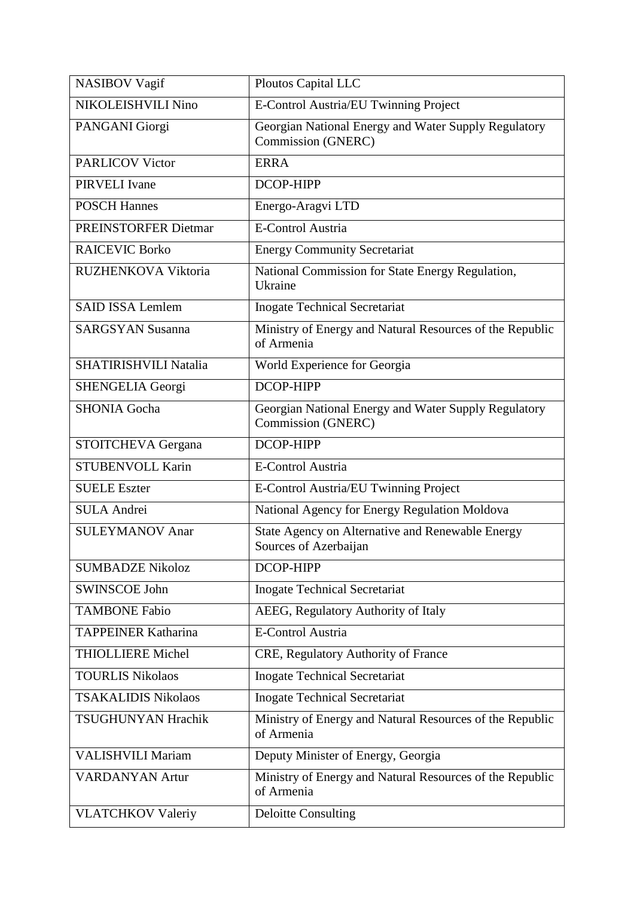| <b>NASIBOV Vagif</b>        | Ploutos Capital LLC                                                        |
|-----------------------------|----------------------------------------------------------------------------|
| NIKOLEISHVILI Nino          | E-Control Austria/EU Twinning Project                                      |
| PANGANI Giorgi              | Georgian National Energy and Water Supply Regulatory<br>Commission (GNERC) |
| <b>PARLICOV Victor</b>      | <b>ERRA</b>                                                                |
| PIRVELI Ivane               | DCOP-HIPP                                                                  |
| <b>POSCH Hannes</b>         | Energo-Aragvi LTD                                                          |
| <b>PREINSTORFER Dietmar</b> | <b>E-Control Austria</b>                                                   |
| <b>RAICEVIC Borko</b>       | <b>Energy Community Secretariat</b>                                        |
| RUZHENKOVA Viktoria         | National Commission for State Energy Regulation,<br>Ukraine                |
| <b>SAID ISSA Lemlem</b>     | <b>Inogate Technical Secretariat</b>                                       |
| <b>SARGSYAN Susanna</b>     | Ministry of Energy and Natural Resources of the Republic<br>of Armenia     |
| SHATIRISHVILI Natalia       | World Experience for Georgia                                               |
| SHENGELIA Georgi            | DCOP-HIPP                                                                  |
| <b>SHONIA Gocha</b>         | Georgian National Energy and Water Supply Regulatory<br>Commission (GNERC) |
| STOITCHEVA Gergana          | DCOP-HIPP                                                                  |
| <b>STUBENVOLL Karin</b>     | <b>E-Control Austria</b>                                                   |
| <b>SUELE Eszter</b>         | E-Control Austria/EU Twinning Project                                      |
| <b>SULA Andrei</b>          | National Agency for Energy Regulation Moldova                              |
| <b>SULEYMANOV Anar</b>      | State Agency on Alternative and Renewable Energy<br>Sources of Azerbaijan  |
| <b>SUMBADZE Nikoloz</b>     | DCOP-HIPP                                                                  |
| <b>SWINSCOE John</b>        | <b>Inogate Technical Secretariat</b>                                       |
| <b>TAMBONE Fabio</b>        | AEEG, Regulatory Authority of Italy                                        |
| <b>TAPPEINER Katharina</b>  | <b>E-Control Austria</b>                                                   |
| <b>THIOLLIERE Michel</b>    | CRE, Regulatory Authority of France                                        |
| <b>TOURLIS Nikolaos</b>     | <b>Inogate Technical Secretariat</b>                                       |
| <b>TSAKALIDIS Nikolaos</b>  | <b>Inogate Technical Secretariat</b>                                       |
| <b>TSUGHUNYAN Hrachik</b>   | Ministry of Energy and Natural Resources of the Republic<br>of Armenia     |
| <b>VALISHVILI Mariam</b>    | Deputy Minister of Energy, Georgia                                         |
| <b>VARDANYAN Artur</b>      | Ministry of Energy and Natural Resources of the Republic<br>of Armenia     |
| <b>VLATCHKOV Valeriy</b>    | <b>Deloitte Consulting</b>                                                 |